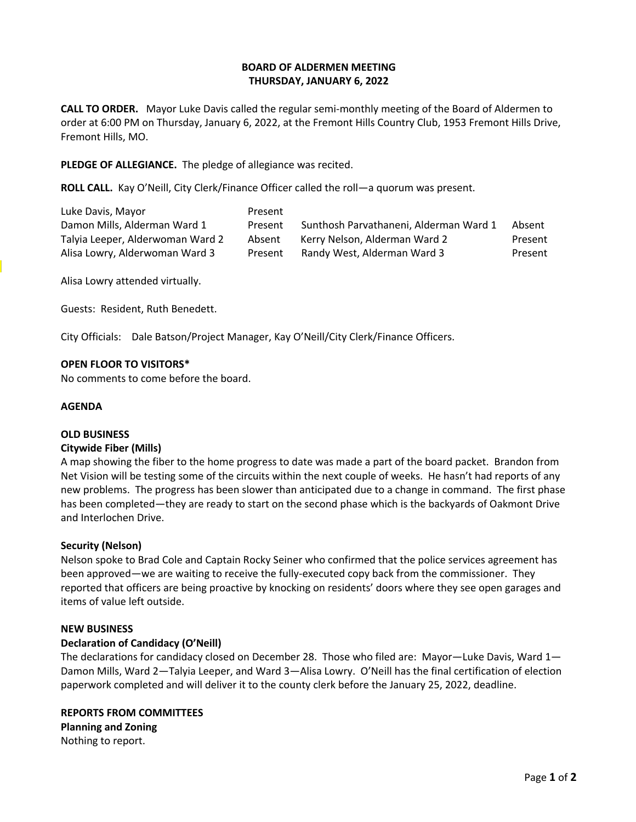### **BOARD OF ALDERMEN MEETING THURSDAY, JANUARY 6, 2022**

**CALL TO ORDER.** Mayor Luke Davis called the regular semi-monthly meeting of the Board of Aldermen to order at 6:00 PM on Thursday, January 6, 2022, at the Fremont Hills Country Club, 1953 Fremont Hills Drive, Fremont Hills, MO.

**PLEDGE OF ALLEGIANCE.** The pledge of allegiance was recited.

**ROLL CALL.** Kay O'Neill, City Clerk/Finance Officer called the roll—a quorum was present.

| Luke Davis, Mayor                | Present |                                        |         |
|----------------------------------|---------|----------------------------------------|---------|
| Damon Mills, Alderman Ward 1     | Present | Sunthosh Parvathaneni, Alderman Ward 1 | Absent  |
| Talyia Leeper, Alderwoman Ward 2 | Absent  | Kerry Nelson, Alderman Ward 2          | Present |
| Alisa Lowry, Alderwoman Ward 3   | Present | Randy West, Alderman Ward 3            | Present |

Alisa Lowry attended virtually.

Guests: Resident, Ruth Benedett.

City Officials: Dale Batson/Project Manager, Kay O'Neill/City Clerk/Finance Officers.

#### **OPEN FLOOR TO VISITORS\***

No comments to come before the board.

#### **AGENDA**

# **OLD BUSINESS**

## **Citywide Fiber (Mills)**

A map showing the fiber to the home progress to date was made a part of the board packet. Brandon from Net Vision will be testing some of the circuits within the next couple of weeks. He hasn't had reports of any new problems. The progress has been slower than anticipated due to a change in command. The first phase has been completed—they are ready to start on the second phase which is the backyards of Oakmont Drive and Interlochen Drive.

### **Security (Nelson)**

Nelson spoke to Brad Cole and Captain Rocky Seiner who confirmed that the police services agreement has been approved—we are waiting to receive the fully-executed copy back from the commissioner. They reported that officers are being proactive by knocking on residents' doors where they see open garages and items of value left outside.

#### **NEW BUSINESS**

### **Declaration of Candidacy (O'Neill)**

The declarations for candidacy closed on December 28. Those who filed are: Mayor—Luke Davis, Ward 1— Damon Mills, Ward 2—Talyia Leeper, and Ward 3—Alisa Lowry. O'Neill has the final certification of election paperwork completed and will deliver it to the county clerk before the January 25, 2022, deadline.

# **REPORTS FROM COMMITTEES**

**Planning and Zoning** Nothing to report.